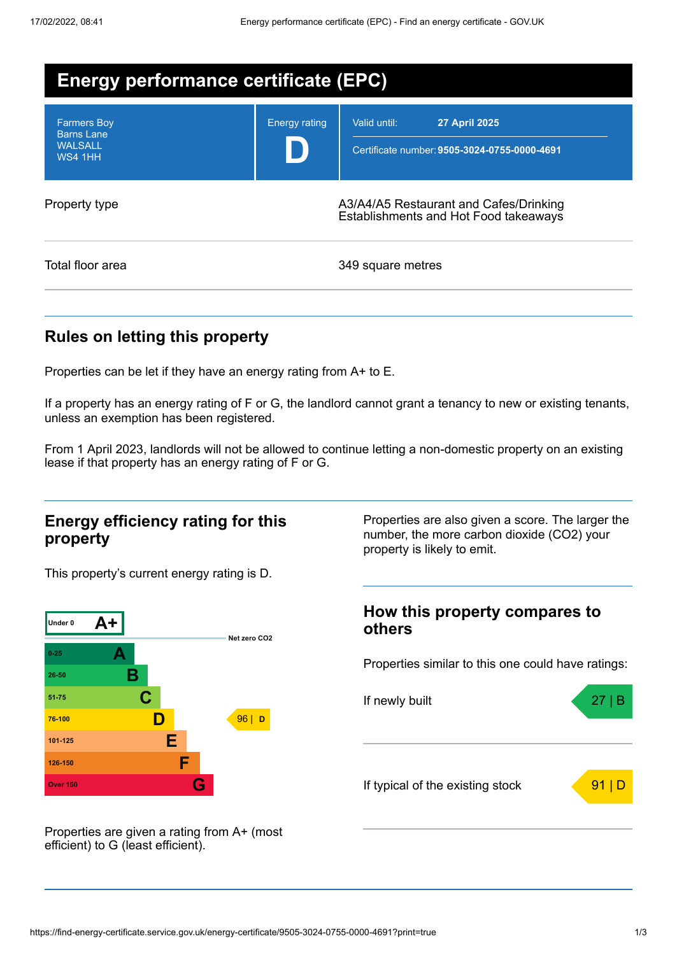| <b>Energy performance certificate (EPC)</b>                                 |                      |                                                                                      |  |  |
|-----------------------------------------------------------------------------|----------------------|--------------------------------------------------------------------------------------|--|--|
| <b>Farmers Boy</b><br><b>Barns Lane</b><br><b>WALSALL</b><br><b>WS4 1HH</b> | <b>Energy rating</b> | Valid until:<br><b>27 April 2025</b><br>Certificate number: 9505-3024-0755-0000-4691 |  |  |
| Property type                                                               |                      | A3/A4/A5 Restaurant and Cafes/Drinking<br>Establishments and Hot Food takeaways      |  |  |
| Total floor area                                                            |                      | 349 square metres                                                                    |  |  |

## **Rules on letting this property**

Properties can be let if they have an energy rating from A+ to E.

If a property has an energy rating of F or G, the landlord cannot grant a tenancy to new or existing tenants, unless an exemption has been registered.

From 1 April 2023, landlords will not be allowed to continue letting a non-domestic property on an existing lease if that property has an energy rating of F or G.

### **Energy efficiency rating for this property**

This property's current energy rating is D.



Properties are also given a score. The larger the number, the more carbon dioxide (CO2) your property is likely to emit.

### **How this property compares to others**

Properties similar to this one could have ratings:



Properties are given a rating from A+ (most efficient) to G (least efficient).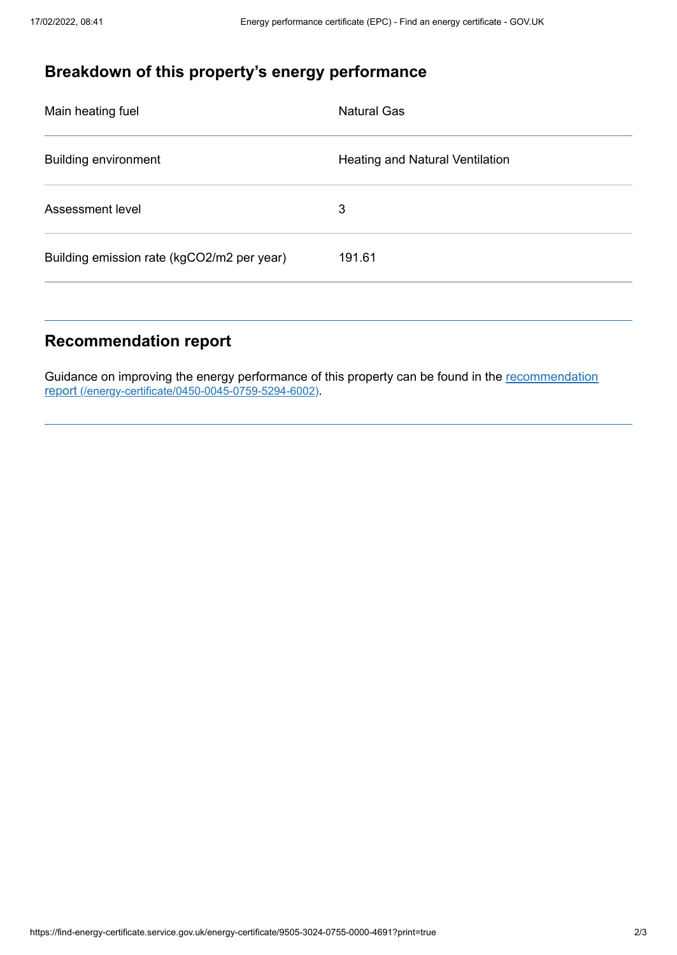# **Breakdown of this property's energy performance**

| Main heating fuel                          | Natural Gas                            |
|--------------------------------------------|----------------------------------------|
| <b>Building environment</b>                | <b>Heating and Natural Ventilation</b> |
| Assessment level                           | 3                                      |
| Building emission rate (kgCO2/m2 per year) | 191.61                                 |
|                                            |                                        |

# **Recommendation report**

Guidance on improving the energy performance of this property can be found in the recommendation report (/energy-certificate/0450-0045-0759-5294-6002).